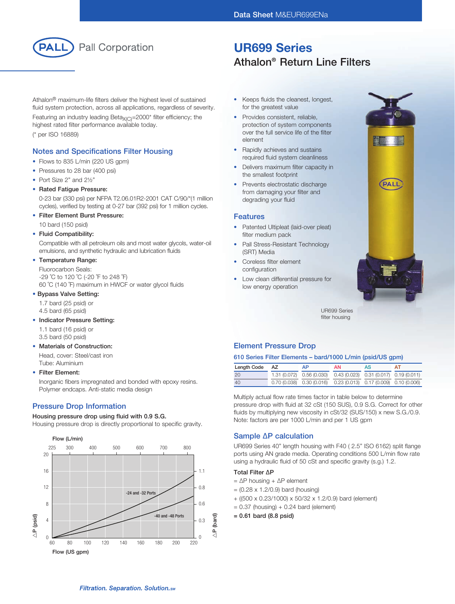

# UR699 Series Athalon® Return Line Filters

Athalon® maximum-life filters deliver the highest level of sustained fluid system protection, across all applications, regardless of severity.

Featuring an industry leading Beta $_{X(C)}$ =2000\* filter efficiency; the highest rated filter performance available today. (\* per ISO 16889)

### Notes and Specifications Filter Housing

- Flows to 835 L/min (220 US gpm)
- Pressures to 28 bar (400 psi)
- Port Size 2" and 21/2"
- Rated Fatigue Pressure:

 0-23 bar (330 psi) per NFPA T2.06.01R2-2001 CAT C/90/\*(1 million cycles), verified by testing at 0-27 bar (392 psi) for 1 million cycles.

• Filter Element Burst Pressure:

10 bard (150 psid)

#### • Fluid Compatibility:

 Compatible with all petroleum oils and most water glycols, water-oil emulsions, and synthetic hydraulic and lubrication fluids

#### • Temperature Range:

 Fluorocarbon Seals: -29 ˚C to 120 ˚C (-20 ˚F to 248 ˚F) 60 ˚C (140 ˚F) maximum in HWCF or water glycol fluids

#### • Bypass Valve Setting:

1.7 bard (25 psid) or

4.5 bard (65 psid)

#### • Indicator Pressure Setting:

1.1 bard (16 psid) or

3.5 bard (50 psid)

#### • Materials of Construction:

 Head, cover: Steel/cast iron Tube: Aluminium

#### • Filter Element:

 Inorganic fibers impregnated and bonded with epoxy resins. Polymer endcaps. Anti-static media design

### Pressure Drop Information

#### Housing pressure drop using fluid with 0.9 S.G.

Housing pressure drop is directly proportional to specific gravity.



- Keeps fluids the cleanest, longest, for the greatest value
- Provides consistent, reliable, protection of system components over the full service life of the filter element
- Rapidly achieves and sustains required fluid system cleanliness
- Delivers maximum filter capacity in the smallest footprint
- Prevents electrostatic discharge from damaging your filter and degrading your fluid

#### Features

- Patented Ultipleat (laid-over pleat) filter medium pack
- Pall Stress-Resistant Technology (SRT) Media
- Coreless filter element configuration
- Low clean differential pressure for low energy operation



UR699 Series filter housing

### Element Pressure Drop

#### 610 Series Filter Elements – bard/1000 L/min (psid/US gpm)

| Length Code | AZ | AP                                                                    | ΑN | AS | ΔT |
|-------------|----|-----------------------------------------------------------------------|----|----|----|
| 20          |    | 1.31 (0.072) 0.56 (0.030) 0.43 (0.023) 0.31 (0.017) 0.19 (0.011)      |    |    |    |
| 40          |    | $0.70(0.038)$ $0.30(0.016)$ $0.23(0.013)$ $0.17(0.009)$ $0.10(0.006)$ |    |    |    |

Multiply actual flow rate times factor in table below to determine pressure drop with fluid at 32 cSt (150 SUS), 0.9 S.G. Correct for other fluids by multiplying new viscosity in cSt/32 (SUS/150) x new S.G./0.9. Note: factors are per 1000 L/min and per 1 US gpm

### Sample ∆P calculation

UR699 Series 40" length housing with F40 ( 2.5" ISO 6162) split flange ports using AN grade media. Operating conditions 500 L/min flow rate using a hydraulic fluid of 50 cSt and specific gravity (s.g.) 1.2.

#### Total Filter ∆P

- = ∆P housing + ∆P element
- $= (0.28 \times 1.2/0.9)$  bard (housing)
- + ((500 x 0.23/1000) x 50/32 x 1.2/0.9) bard (element)
- $= 0.37$  (housing) + 0.24 bard (element)
- = 0.61 bard (8.8 psid)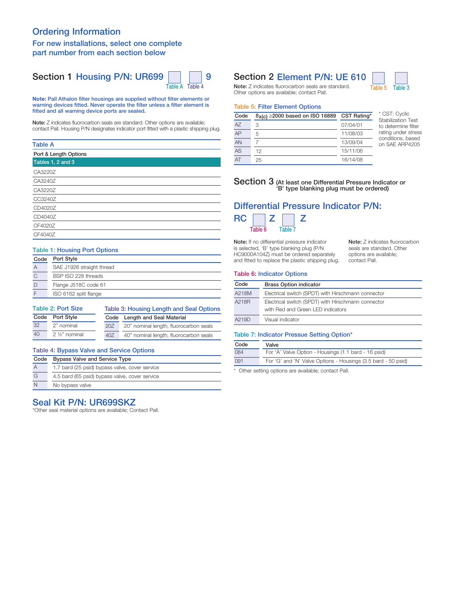# Ordering Information

#### For new installations, select one complete part number from each section below

# Section 1 Housing P/N: UR699 | | | 9



Note: Pall Athalon filter housings are supplied without filter elements or warning devices fitted. Never operate the filter unless a filter element is fitted and all warning device ports are sealed.

Note: Z indicates fluorocarbon seals are standard. Other options are available; contact Pall. Housing P/N designates indicator port fitted with a plastic shipping plug.

#### Table A

#### Table 1: Housing Port Options

| Code | Port Style                |
|------|---------------------------|
| А    | SAE J1926 straight thread |
|      | BSP ISO 228 threads       |
|      | Flange J518C code 61      |
|      | ISO 6162 split flange     |

| <b>Table 2: Port Size</b> |                        |     | Table 3: Housing Length and Seal Options |  |  |
|---------------------------|------------------------|-----|------------------------------------------|--|--|
| Code Port Style           |                        |     | Code Length and Seal Material            |  |  |
| 32                        | 2" nominal             | 20Z | 20" nominal length, fluorocarbon seals   |  |  |
| 40                        | $2\frac{1}{2}$ nominal | 40Z | 40" nominal length, fluorocarbon seals   |  |  |

### Table 4: Bypass Valve and Service Options

| Code           | <b>Bypass Valve and Service Type</b>           |  |  |
|----------------|------------------------------------------------|--|--|
| $\overline{A}$ | 1.7 bard (25 psid) bypass valve, cover service |  |  |
| G              | 4.5 bard (65 psid) bypass valve, cover service |  |  |
| N              | No bypass valve                                |  |  |

### Seal Kit P/N: UR699SKZ

\*Other seal material options are available; Contact Pall.

# Section 2 Element P/N: UE 610

Note: Z indicates fluorocarbon seals are standard. Table 5 Table 3 Other options are available; contact Pall.



#### Table 5: Filter Element Options

| Code | $B_X(c) \ge 2000$ based on ISO 16889 | CST Rating* |
|------|--------------------------------------|-------------|
| A7   | 3                                    | 07/04/01    |
| AP   | 5                                    | 11/08/03    |
| AN   |                                      | 13/09/04    |
| AS   | 12                                   | 15/11/06    |
| AT   | 25                                   | 16/14/08    |

\* CST: Cyclic Stabilization Test to determine filter rating under stress conditions, based on SAE ARP4205

#### Section 3 (At least one Differential Pressure Indicator or 'B' type blanking plug must be ordered)

# Differential Pressure Indicator P/N:  $RC \square Z \square Z$

Table 6 Table 7 Note: If no differential pressure indicator is selected, 'B' type blanking plug (P/N

HC9000A104Z) must be ordered separately and fitted to replace the plastic shipping plug. Note: Z indicates fluorocarbon seals are standard. Other options are available; contact Pall.

#### Table 6: Indicator Options

| Code  | <b>Brass Option indicator</b>                                                           |  |  |
|-------|-----------------------------------------------------------------------------------------|--|--|
| A218M | Electrical switch (SPDT) with Hirschmann connector                                      |  |  |
| A218R | Electrical switch (SPDT) with Hirschmann connector<br>with Red and Green LED indicators |  |  |
| A219D | Visual indicator                                                                        |  |  |

#### Table 7: Indicator Pressue Setting Option\*

| Code | Valve                                                         |
|------|---------------------------------------------------------------|
| 084  | For 'A' Valve Option - Housings (1.1 bard - 16 psid)          |
| 091  | For 'G' and 'N' Valve Options - Housings (3.5 bard - 50 psid) |

\* Other setting options are available; contact Pall.